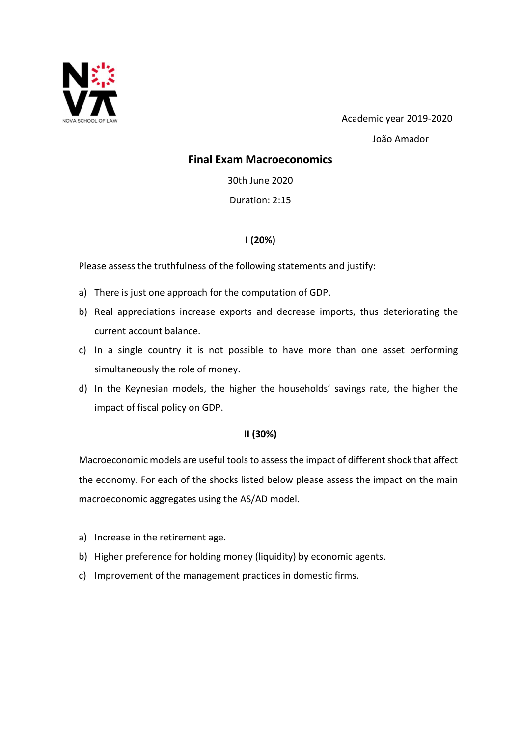

 Academic year 2019-2020 João Amador

### Final Exam Macroeconomics

30th June 2020

Duration: 2:15

# I (20%)

Please assess the truthfulness of the following statements and justify:

- a) There is just one approach for the computation of GDP.
- b) Real appreciations increase exports and decrease imports, thus deteriorating the current account balance.
- c) In a single country it is not possible to have more than one asset performing simultaneously the role of money.
- d) In the Keynesian models, the higher the households' savings rate, the higher the impact of fiscal policy on GDP.

## II (30%)

Macroeconomic models are useful tools to assess the impact of different shock that affect the economy. For each of the shocks listed below please assess the impact on the main macroeconomic aggregates using the AS/AD model.

- a) Increase in the retirement age.
- b) Higher preference for holding money (liquidity) by economic agents.
- c) Improvement of the management practices in domestic firms.